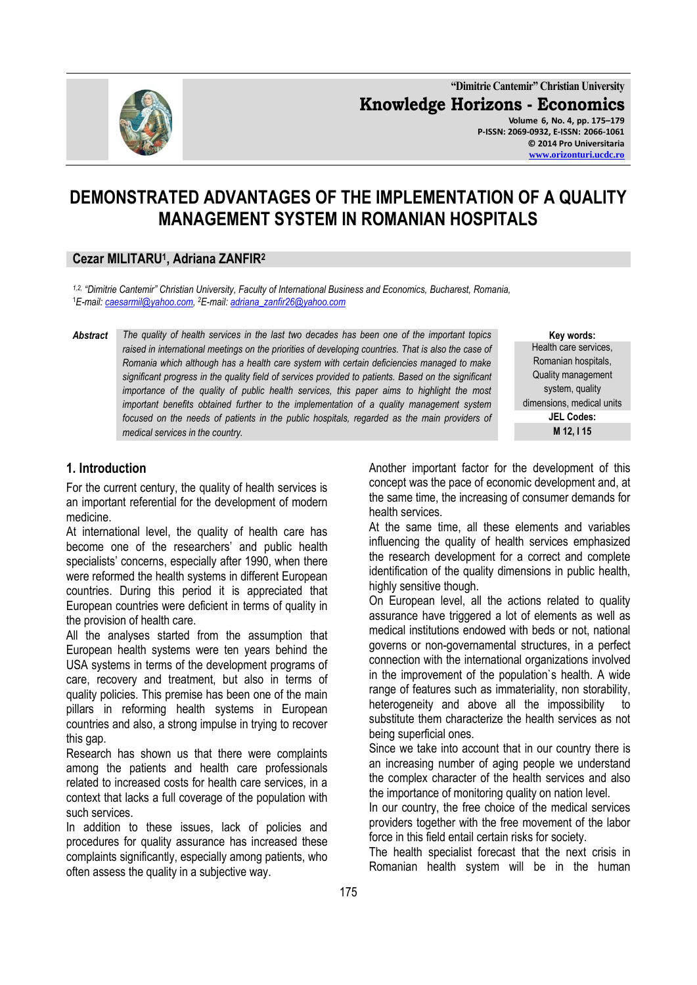

**"Dimitrie Cantemir" Christian University Knowledge Horizons - Economics Volume 6, No. 4, pp. 175–179 P-ISSN: 2069-0932, E-ISSN: 2066-1061 © 2014 Pro Universitaria [www.orizonturi.ucdc.ro](http://www.orizonturi.ucdc.ro/)**

# **DEMONSTRATED ADVANTAGES OF THE IMPLEMENTATION OF A QUALITY MANAGEMENT SYSTEM IN ROMANIAN HOSPITALS**

#### **Cezar MILITARU<sup>1</sup> , Adriana ZANFIR<sup>2</sup>**

*1,2, "Dimitrie Cantemir" Christian University, Faculty of International Business and Economics, Bucharest, Romania,* <sup>1</sup>*E-mail: [caesarmil@yahoo.com,](mailto:caesarmil@yahoo.com)  <sup>2</sup>E-mail: [adriana\\_zanfir26@yahoo.com](mailto:adriana_zanfir26@yahoo.com)* 

*Abstract The quality of health services in the last two decades has been one of the important topics raised in international meetings on the priorities of developing countries. That is also the case of Romania which although has a health care system with certain deficiencies managed to make significant progress in the quality field of services provided to patients. Based on the significant importance of the quality of public health services, this paper aims to highlight the most important benefits obtained further to the implementation of a quality management system focused on the needs of patients in the public hospitals, regarded as the main providers of medical services in the country.*

**Key words:** Health care services, Romanian hospitals, Quality management system, quality dimensions, medical units **JEL Codes: M 12, I 15**

# **1. Introduction**

For the current century, the quality of health services is an important referential for the development of modern medicine.

At international level, the quality of health care has become one of the researchers' and public health specialists' concerns, especially after 1990, when there were reformed the health systems in different European countries. During this period it is appreciated that European countries were deficient in terms of quality in the provision of health care.

All the analyses started from the assumption that European health systems were ten years behind the USA systems in terms of the development programs of care, recovery and treatment, but also in terms of quality policies. This premise has been one of the main pillars in reforming health systems in European countries and also, a strong impulse in trying to recover this gap.

Research has shown us that there were complaints among the patients and health care professionals related to increased costs for health care services, in a context that lacks a full coverage of the population with such services.

In addition to these issues, lack of policies and procedures for quality assurance has increased these complaints significantly, especially among patients, who often assess the quality in a subjective way.

Another important factor for the development of this concept was the pace of economic development and, at the same time, the increasing of consumer demands for health services.

At the same time, all these elements and variables influencing the quality of health services emphasized the research development for a correct and complete identification of the quality dimensions in public health, highly sensitive though.

On European level, all the actions related to quality assurance have triggered a lot of elements as well as medical institutions endowed with beds or not, national governs or non-governamental structures, in a perfect connection with the international organizations involved in the improvement of the population`s health. A wide range of features such as immateriality, non storability, heterogeneity and above all the impossibility to substitute them characterize the health services as not being superficial ones.

Since we take into account that in our country there is an increasing number of aging people we understand the complex character of the health services and also the importance of monitoring quality on nation level.

In our country, the free choice of the medical services providers together with the free movement of the labor force in this field entail certain risks for society.

The health specialist forecast that the next crisis in Romanian health system will be in the human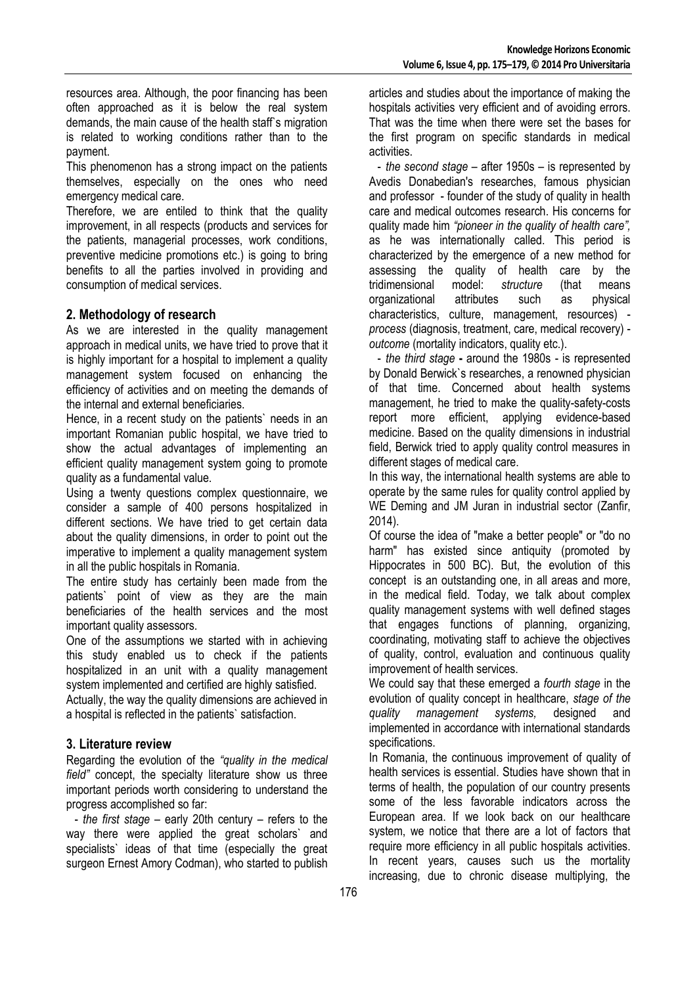resources area. Although, the poor financing has been often approached as it is below the real system demands, the main cause of the health staff`s migration is related to working conditions rather than to the payment.

This phenomenon has a strong impact on the patients themselves, especially on the ones who need emergency medical care.

Therefore, we are entiled to think that the quality improvement, in all respects (products and services for the patients, managerial processes, work conditions, preventive medicine promotions etc.) is going to bring benefits to all the parties involved in providing and consumption of medical services.

# **2. Methodology of research**

As we are interested in the quality management approach in medical units, we have tried to prove that it is highly important for a hospital to implement a quality management system focused on enhancing the efficiency of activities and on meeting the demands of the internal and external beneficiaries.

Hence, in a recent study on the patients` needs in an important Romanian public hospital, we have tried to show the actual advantages of implementing an efficient quality management system going to promote quality as a fundamental value.

Using a twenty questions complex questionnaire, we consider a sample of 400 persons hospitalized in different sections. We have tried to get certain data about the quality dimensions, in order to point out the imperative to implement a quality management system in all the public hospitals in Romania.

The entire study has certainly been made from the patients` point of view as they are the main beneficiaries of the health services and the most important quality assessors.

One of the assumptions we started with in achieving this study enabled us to check if the patients hospitalized in an unit with a quality management system implemented and certified are highly satisfied.

Actually, the way the quality dimensions are achieved in a hospital is reflected in the patients` satisfaction.

## **3. Literature review**

Regarding the evolution of the *"quality in the medical field"* concept, the specialty literature show us three important periods worth considering to understand the progress accomplished so far:

- *the first stage* – early 20th century – refers to the way there were applied the great scholars` and specialists` ideas of that time (especially the great surgeon Ernest Amory Codman), who started to publish articles and studies about the importance of making the hospitals activities very efficient and of avoiding errors. That was the time when there were set the bases for the first program on specific standards in medical activities.

- *the second stage* – after 1950s – is represented by Avedis Donabedian's researches, famous physician and professor - founder of the study of quality in health care and medical outcomes research. His concerns for quality made him *"pioneer in the quality of health care",*  as he was internationally called. This period is characterized by the emergence of a new method for assessing the quality of health care by the tridimensional model: *structure* (that means organizational attributes such as physical characteristics, culture, management, resources) *process* (diagnosis, treatment, care, medical recovery) *outcome* (mortality indicators, quality etc.).

- *the third stage* **-** around the 1980s - is represented by Donald Berwick`s researches, a renowned physician of that time. Concerned about health systems management, he tried to make the quality-safety-costs report more efficient, applying evidence-based medicine. Based on the quality dimensions in industrial field, Berwick tried to apply quality control measures in different stages of medical care.

In this way, the international health systems are able to operate by the same rules for quality control applied by WE Deming and JM Juran in industrial sector (Zanfir, 2014).

Of course the idea of "make a better people" or "do no harm" has existed since antiquity (promoted by Hippocrates in 500 BC). But, the evolution of this concept is an outstanding one, in all areas and more, in the medical field. Today, we talk about complex quality management systems with well defined stages that engages functions of planning, organizing, coordinating, motivating staff to achieve the objectives of quality, control, evaluation and continuous quality improvement of health services.

We could say that these emerged a *fourth stage* in the evolution of quality concept in healthcare, *stage of the quality management systems,* designed and implemented in accordance with international standards specifications.

In Romania, the continuous improvement of quality of health services is essential. Studies have shown that in terms of health, the population of our country presents some of the less favorable indicators across the European area. If we look back on our healthcare system, we notice that there are a lot of factors that require more efficiency in all public hospitals activities. In recent years, causes such us the mortality increasing, due to chronic disease multiplying, the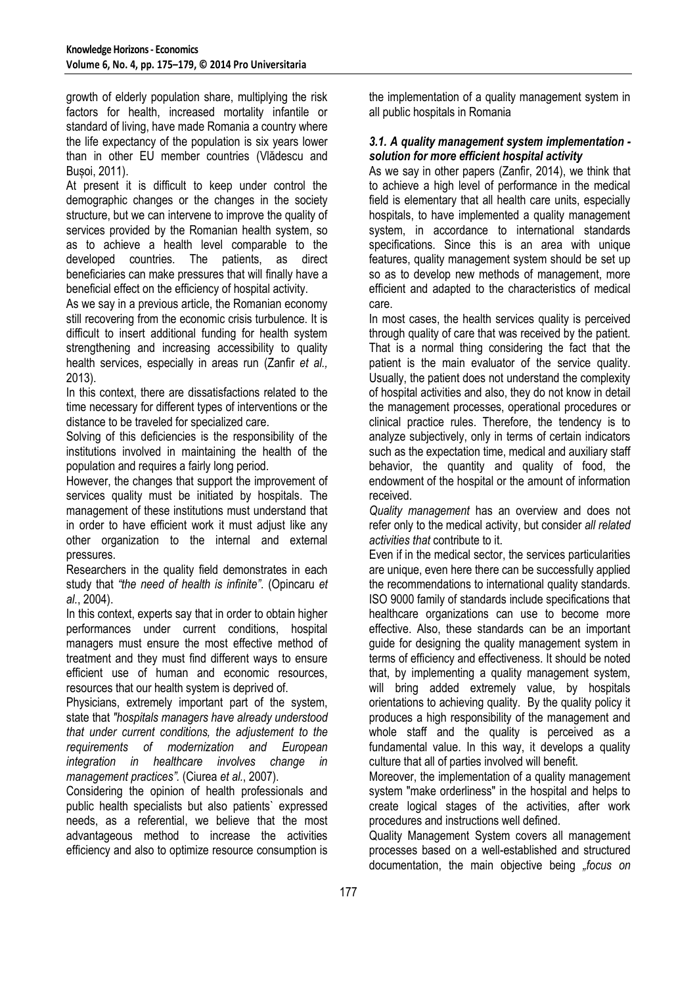growth of elderly population share, multiplying the risk factors for health, increased mortality infantile or standard of living, have made Romania a country where the life expectancy of the population is six years lower than in other EU member countries (Vlădescu and Bușoi, 2011).

At present it is difficult to keep under control the demographic changes or the changes in the society structure, but we can intervene to improve the quality of services provided by the Romanian health system, so as to achieve a health level comparable to the developed countries. The patients, as direct beneficiaries can make pressures that will finally have a beneficial effect on the efficiency of hospital activity.

As we say in a previous article, the Romanian economy still recovering from the economic crisis turbulence. It is difficult to insert additional funding for health system strengthening and increasing accessibility to quality health services, especially in areas run (Zanfir *et al.,* 2013).

In this context, there are dissatisfactions related to the time necessary for different types of interventions or the distance to be traveled for specialized care.

Solving of this deficiencies is the responsibility of the institutions involved in maintaining the health of the population and requires a fairly long period.

However, the changes that support the improvement of services quality must be initiated by hospitals. The management of these institutions must understand that in order to have efficient work it must adjust like any other organization to the internal and external pressures.

Researchers in the quality field demonstrates in each study that *"the need of health is infinite".* (Opincaru *et al.*, 2004).

In this context, experts say that in order to obtain higher performances under current conditions, hospital managers must ensure the most effective method of treatment and they must find different ways to ensure efficient use of human and economic resources, resources that our health system is deprived of.

Physicians, extremely important part of the system, state that *"hospitals managers have already understood that under current conditions, the adjustement to the requirements of modernization and European integration in healthcare involves change in management practices".* (Ciurea *et al.*, 2007).

Considering the opinion of health professionals and public health specialists but also patients` expressed needs, as a referential, we believe that the most advantageous method to increase the activities efficiency and also to optimize resource consumption is the implementation of a quality management system in all public hospitals in Romania

## *3.1. A quality management system implementation solution for more efficient hospital activity*

As we say in other papers (Zanfir, 2014), we think that to achieve a high level of performance in the medical field is elementary that all health care units, especially hospitals, to have implemented a quality management system, in accordance to international standards specifications. Since this is an area with unique features, quality management system should be set up so as to develop new methods of management, more efficient and adapted to the characteristics of medical care.

In most cases, the health services quality is perceived through quality of care that was received by the patient. That is a normal thing considering the fact that the patient is the main evaluator of the service quality. Usually, the patient does not understand the complexity of hospital activities and also, they do not know in detail the management processes, operational procedures or clinical practice rules. Therefore, the tendency is to analyze subjectively, only in terms of certain indicators such as the expectation time, medical and auxiliary staff behavior, the quantity and quality of food, the endowment of the hospital or the amount of information received.

*Quality management* has an overview and does not refer only to the medical activity, but consider *all related activities that* contribute to it.

Even if in the medical sector, the services particularities are unique, even here there can be successfully applied the recommendations to international quality standards. ISO 9000 family of standards include specifications that healthcare organizations can use to become more effective. Also, these standards can be an important guide for designing the quality management system in terms of efficiency and effectiveness. It should be noted that, by implementing a quality management system, will bring added extremely value, by hospitals orientations to achieving quality. By the quality policy it produces a high responsibility of the management and whole staff and the quality is perceived as a fundamental value. In this way, it develops a quality culture that all of parties involved will benefit.

Moreover, the implementation of a quality management system "make orderliness" in the hospital and helps to create logical stages of the activities, after work procedures and instructions well defined.

Quality Management System covers all management processes based on a well-established and structured documentation, the main objective being *"focus on*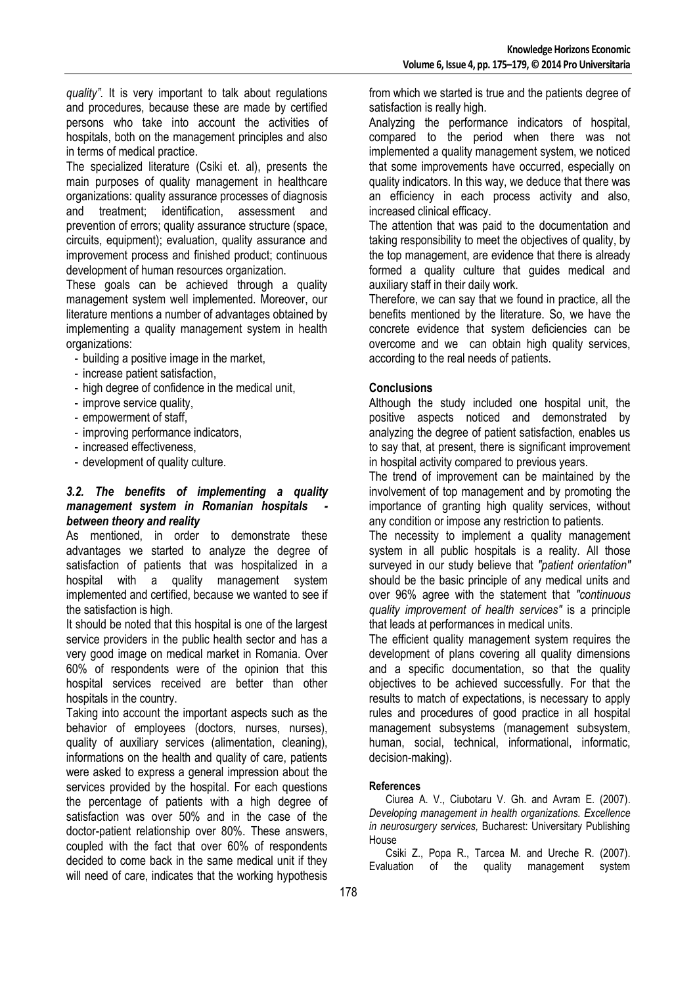*quality".* It is very important to talk about regulations and procedures, because these are made by certified persons who take into account the activities of hospitals, both on the management principles and also in terms of medical practice.

The specialized literature (Csiki et. al), presents the main purposes of quality management in healthcare organizations: quality assurance processes of diagnosis and treatment; identification, assessment and prevention of errors; quality assurance structure (space, circuits, equipment); evaluation, quality assurance and improvement process and finished product; continuous development of human resources organization.

These goals can be achieved through a quality management system well implemented. Moreover, our literature mentions a number of advantages obtained by implementing a quality management system in health organizations:

- building a positive image in the market,
- increase patient satisfaction,
- high degree of confidence in the medical unit,
- improve service quality,
- empowerment of staff,
- improving performance indicators,
- increased effectiveness,
- development of quality culture.

#### *3.2. The benefits of implementing a quality management system in Romanian hospitals between theory and reality*

As mentioned, in order to demonstrate these advantages we started to analyze the degree of satisfaction of patients that was hospitalized in a hospital with a quality management system implemented and certified, because we wanted to see if the satisfaction is high.

It should be noted that this hospital is one of the largest service providers in the public health sector and has a very good image on medical market in Romania. Over 60% of respondents were of the opinion that this hospital services received are better than other hospitals in the country.

Taking into account the important aspects such as the behavior of employees (doctors, nurses, nurses), quality of auxiliary services (alimentation, cleaning), informations on the health and quality of care, patients were asked to express a general impression about the services provided by the hospital. For each questions the percentage of patients with a high degree of satisfaction was over 50% and in the case of the doctor-patient relationship over 80%. These answers, coupled with the fact that over 60% of respondents decided to come back in the same medical unit if they will need of care, indicates that the working hypothesis from which we started is true and the patients degree of satisfaction is really high.

Analyzing the performance indicators of hospital, compared to the period when there was not implemented a quality management system, we noticed that some improvements have occurred, especially on quality indicators. In this way, we deduce that there was an efficiency in each process activity and also, increased clinical efficacy.

The attention that was paid to the documentation and taking responsibility to meet the objectives of quality, by the top management, are evidence that there is already formed a quality culture that guides medical and auxiliary staff in their daily work.

Therefore, we can say that we found in practice, all the benefits mentioned by the literature. So, we have the concrete evidence that system deficiencies can be overcome and we can obtain high quality services, according to the real needs of patients.

## **Conclusions**

Although the study included one hospital unit, the positive aspects noticed and demonstrated by analyzing the degree of patient satisfaction, enables us to say that, at present, there is significant improvement in hospital activity compared to previous years.

The trend of improvement can be maintained by the involvement of top management and by promoting the importance of granting high quality services, without any condition or impose any restriction to patients.

The necessity to implement a quality management system in all public hospitals is a reality. All those surveyed in our study believe that *"patient orientation"* should be the basic principle of any medical units and over 96% agree with the statement that *"continuous quality improvement of health services"* is a principle that leads at performances in medical units.

The efficient quality management system requires the development of plans covering all quality dimensions and a specific documentation, so that the quality objectives to be achieved successfully. For that the results to match of expectations, is necessary to apply rules and procedures of good practice in all hospital management subsystems (management subsystem, human, social, technical, informational, informatic, decision-making).

#### **References**

Ciurea A. V., Ciubotaru V. Gh. and Avram E. (2007). *Developing management in health organizations. Excellence in neurosurgery services,* Bucharest: Universitary Publishing House

Csiki Z., Popa R., Tarcea M. and Ureche R. (2007). Evaluation of the quality management system